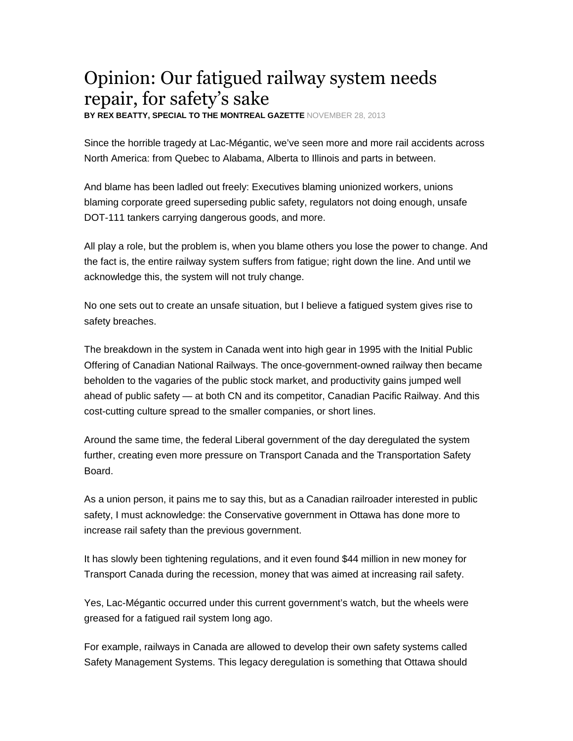## Opinion: Our fatigued railway system needs repair, for safety's sake

**BY REX BEATTY, SPECIAL TO THE MONTREAL GAZETTE** NOVEMBER 28, 2013

Since the horrible tragedy at Lac-Mégantic, we've seen more and more rail accidents across North America: from Quebec to Alabama, Alberta to Illinois and parts in between.

And blame has been ladled out freely: Executives blaming unionized workers, unions blaming corporate greed superseding public safety, regulators not doing enough, unsafe DOT-111 tankers carrying dangerous goods, and more.

All play a role, but the problem is, when you blame others you lose the power to change. And the fact is, the entire railway system suffers from fatigue; right down the line. And until we acknowledge this, the system will not truly change.

No one sets out to create an unsafe situation, but I believe a fatigued system gives rise to safety breaches.

The breakdown in the system in Canada went into high gear in 1995 with the Initial Public Offering of Canadian National Railways. The once-government-owned railway then became beholden to the vagaries of the public stock market, and productivity gains jumped well ahead of public safety — at both CN and its competitor, Canadian Pacific Railway. And this cost-cutting culture spread to the smaller companies, or short lines.

Around the same time, the federal Liberal government of the day deregulated the system further, creating even more pressure on Transport Canada and the Transportation Safety Board.

As a union person, it pains me to say this, but as a Canadian railroader interested in public safety, I must acknowledge: the Conservative government in Ottawa has done more to increase rail safety than the previous government.

It has slowly been tightening regulations, and it even found \$44 million in new money for Transport Canada during the recession, money that was aimed at increasing rail safety.

Yes, Lac-Mégantic occurred under this current government's watch, but the wheels were greased for a fatigued rail system long ago.

For example, railways in Canada are allowed to develop their own safety systems called Safety Management Systems. This legacy deregulation is something that Ottawa should